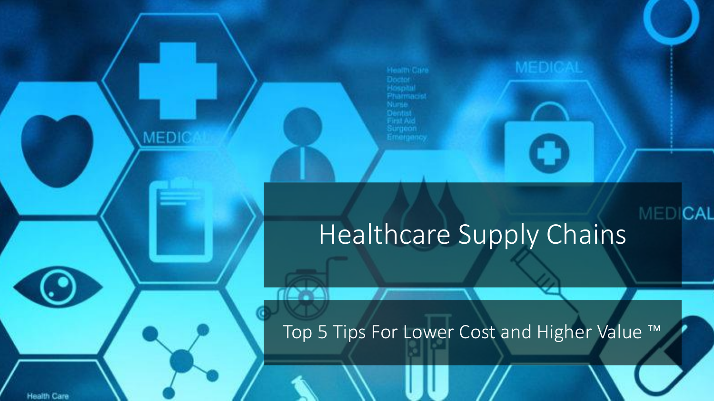Health Care

### Healthcare Supply Chains

MEDICAL

Top 5 Tips For Lower Cost and Higher Value ™

**Health Care** 

MEDIC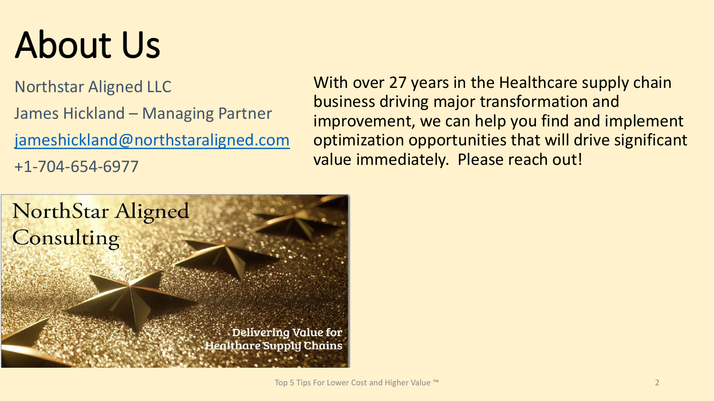# About Us

Northstar Aligned LLC James Hickland – Managing Partner [jameshickland@northstaraligned.com](mailto:jameshickland@northstaraligned.com) +1-704-654-6977

With over 27 years in the Healthcare supply chain business driving major transformation and improvement, we can help you find and implement optimization opportunities that will drive significant value immediately. Please reach out!

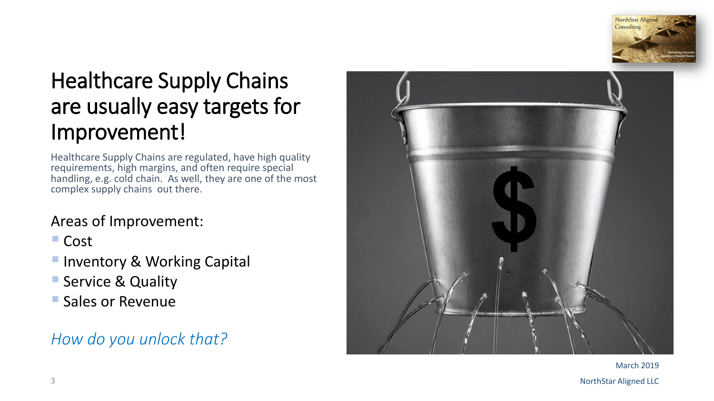

### Healthcare Supply Chains are usually easy targets for Improvement!

Healthcare Supply Chains are regulated, have high quality requirements, high margins, and often require special handling, e.g. cold chain. As well, they are one of the most complex supply chains out there.

#### Areas of Improvement:

■ Cost

- **Inventory & Working Capital**
- **E** Service & Quality
- **Sales or Revenue**

#### *How do you unlock that?*



March 2019 3 NorthStar Aligned LLC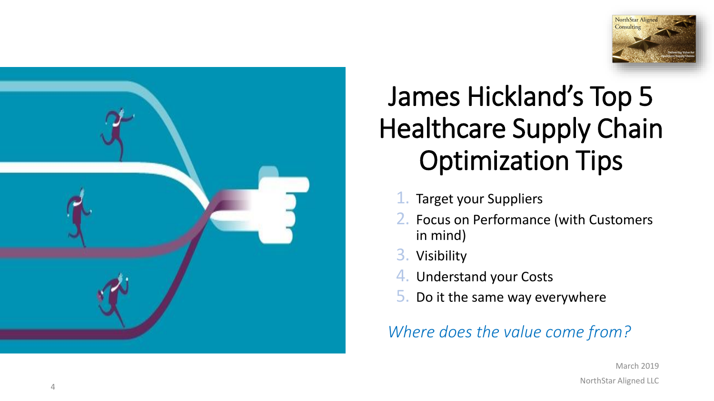



### James Hickland's Top 5 Healthcare Supply Chain Optimization Tips

- 1. Target your Suppliers
- 2. Focus on Performance (with Customers in mind)
- 3. Visibility
- 4. Understand your Costs
- 5. Do it the same way everywhere

*Where does the value come from?*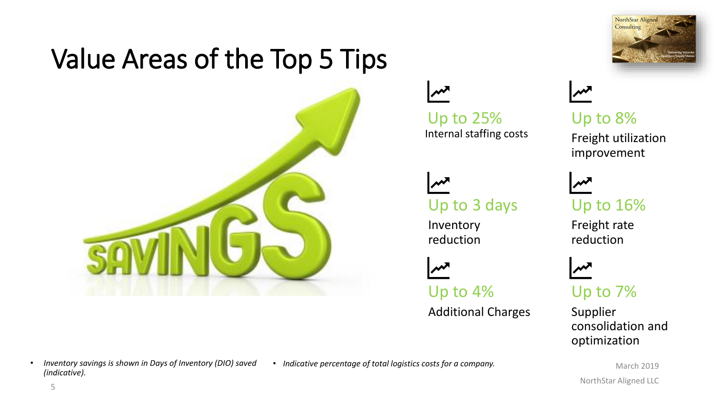### Value Areas of the Top 5 Tips





Up to 25% Internal staffing costs

Up to 3 days

Inventory reduction

Up to 4%

Additional Charges



Up to 8% Freight utilization improvement

Up to 16%

Freight rate reduction



Up to 7%

Supplier consolidation and optimization

March 2019 NorthStar Aligned LLC

- *Inventory savings is shown in Days of Inventory (DIO) saved (indicative).*
- *Indicative percentage of total logistics costs for a company.*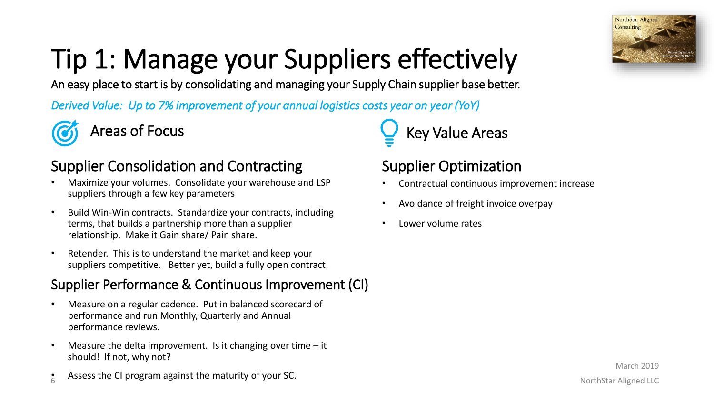

# Tip 1: Manage your Suppliers effectively

An easy place to start is by consolidating and managing your Supply Chain supplier base better.

*Derived Value: Up to 7% improvement of your annual logistics costs year on year (YoY)*



#### Supplier Consolidation and Contracting

- Maximize your volumes. Consolidate your warehouse and LSP suppliers through a few key parameters
- Build Win-Win contracts. Standardize your contracts, including terms, that builds a partnership more than a supplier relationship. Make it Gain share/ Pain share.
- Retender. This is to understand the market and keep your suppliers competitive. Better yet, build a fully open contract.

#### Supplier Performance & Continuous Improvement (CI)

- Measure on a regular cadence. Put in balanced scorecard of performance and run Monthly, Quarterly and Annual performance reviews.
- Measure the delta improvement. Is it changing over time it should! If not, why not?
- 6 • Assess the CI program against the maturity of your SC.

Areas of Focus  $\qquad \qquad \qquad \qquad$  Key Value Areas

#### Supplier Optimization

- Contractual continuous improvement increase
- Avoidance of freight invoice overpay
- Lower volume rates

March 2019 NorthStar Aligned LLC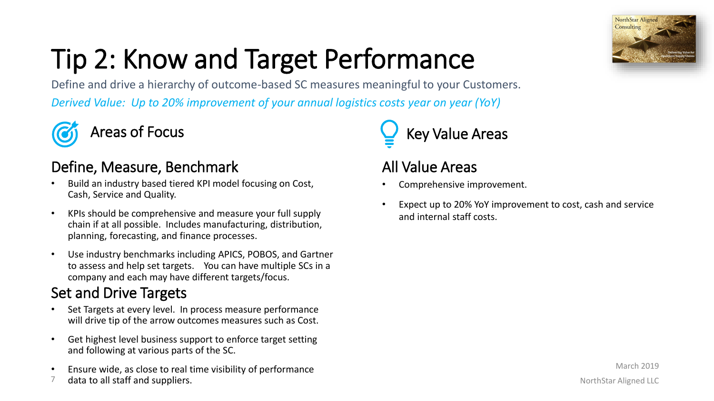

# Tip 2: Know and Target Performance

Define and drive a hierarchy of outcome-based SC measures meaningful to your Customers. *Derived Value: Up to 20% improvement of your annual logistics costs year on year (YoY)*



#### Define, Measure, Benchmark

- Build an industry based tiered KPI model focusing on Cost, Cash, Service and Quality.
- KPIs should be comprehensive and measure your full supply chain if at all possible. Includes manufacturing, distribution, planning, forecasting, and finance processes.
- Use industry benchmarks including APICS, POBOS, and Gartner to assess and help set targets. You can have multiple SCs in a company and each may have different targets/focus.

#### Set and Drive Targets

- Set Targets at every level. In process measure performance will drive tip of the arrow outcomes measures such as Cost.
- Get highest level business support to enforce target setting and following at various parts of the SC.
- Ensure wide, as close to real time visibility of performance
- 7 data to all staff and suppliers.

### Areas of Focus **Key Value Areas**

#### All Value Areas

- Comprehensive improvement.
- Expect up to 20% YoY improvement to cost, cash and service and internal staff costs.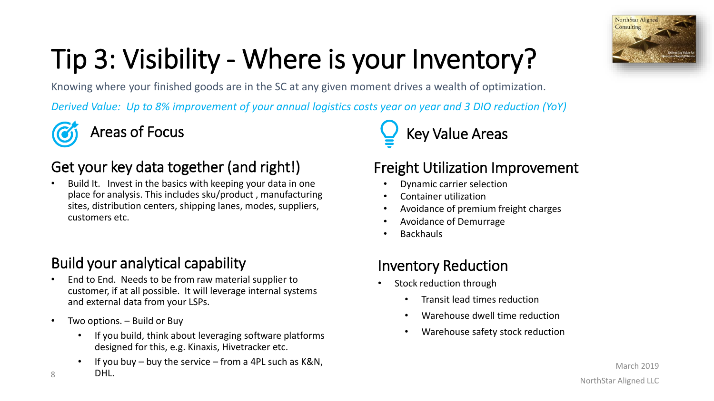

### Tip 3: Visibility - Where is your Inventory?

Knowing where your finished goods are in the SC at any given moment drives a wealth of optimization.

*Derived Value: Up to 8% improvement of your annual logistics costs year on year and 3 DIO reduction (YoY)*



#### Get your key data together (and right!)

• Build It. Invest in the basics with keeping your data in one place for analysis. This includes sku/product , manufacturing sites, distribution centers, shipping lanes, modes, suppliers, customers etc.

#### Build your analytical capability

- End to End. Needs to be from raw material supplier to customer, if at all possible. It will leverage internal systems and external data from your LSPs.
- Two options. Build or Buy
	- If you build, think about leveraging software platforms designed for this, e.g. Kinaxis, Hivetracker etc.
	- If you buy buy the service from a 4PL such as  $K&N$ , DHL.

Areas of Focus  $\qquad \qquad \qquad \qquad$  Key Value Areas

#### Freight Utilization Improvement

- Dynamic carrier selection
- Container utilization
- Avoidance of premium freight charges
- Avoidance of Demurrage
- **Backhauls**

#### Inventory Reduction

- Stock reduction through
	- Transit lead times reduction
	- Warehouse dwell time reduction
	- Warehouse safety stock reduction

8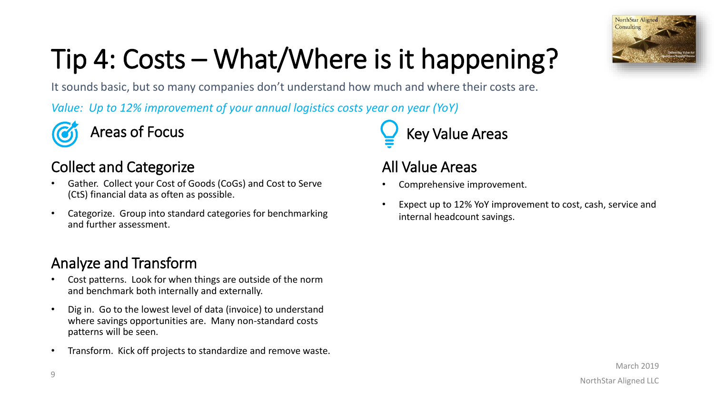

# Tip 4: Costs – What/Where is it happening?

It sounds basic, but so many companies don't understand how much and where their costs are.

*Value: Up to 12% improvement of your annual logistics costs year on year (YoY)*



#### Collect and Categorize

- Gather. Collect your Cost of Goods (CoGs) and Cost to Serve (CtS) financial data as often as possible.
- Categorize. Group into standard categories for benchmarking and further assessment.

#### Analyze and Transform

- Cost patterns. Look for when things are outside of the norm and benchmark both internally and externally.
- Dig in. Go to the lowest level of data (invoice) to understand where savings opportunities are. Many non-standard costs patterns will be seen.
- Transform. Kick off projects to standardize and remove waste.

Areas of Focus  $\qquad \qquad \qquad \qquad$  Key Value Areas

#### All Value Areas

- Comprehensive improvement.
- Expect up to 12% YoY improvement to cost, cash, service and internal headcount savings.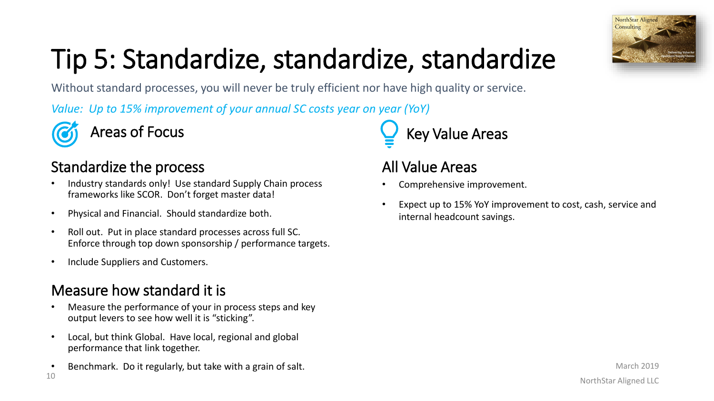

## Tip 5: Standardize, standardize, standardize

Without standard processes, you will never be truly efficient nor have high quality or service.

*Value: Up to 15% improvement of your annual SC costs year on year (YoY)*

#### Standardize the process

- Industry standards only! Use standard Supply Chain process frameworks like SCOR. Don't forget master data!
- Physical and Financial. Should standardize both.
- Roll out. Put in place standard processes across full SC. Enforce through top down sponsorship / performance targets.
- Include Suppliers and Customers.

#### Measure how standard it is

- Measure the performance of your in process steps and key output levers to see how well it is "sticking".
- Local, but think Global. Have local, regional and global performance that link together.
- 10 • Benchmark. Do it regularly, but take with a grain of salt.

Areas of Focus  $\qquad \qquad \qquad \qquad$  Key Value Areas

#### All Value Areas

- Comprehensive improvement.
- Expect up to 15% YoY improvement to cost, cash, service and internal headcount savings.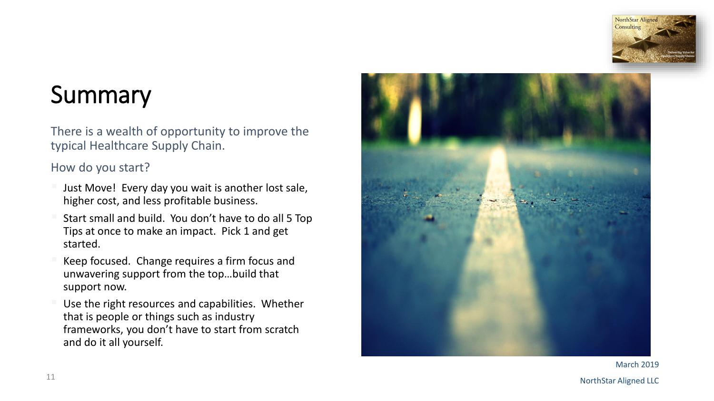

### **Summary**

There is a wealth of opportunity to improve the typical Healthcare Supply Chain.

#### How do you start?

- higher cost, and less profitable business.
- Start small and build. You don't have to do all 5 Top Tips at once to make an impact. Pick 1 and get started.
- Keep focused. Change requires a firm focus and unwavering support from the top…build that support now.
- Just Move! Every day you wait is another lost sale,<br>higher cost, and less profitable business.<br>Start small and build. You don't have to do all 5 Top<br>Tips at once to make an impact. Pick 1 and get<br>started.<br>Keep focused. Cha Use the right resources and capabilities. Whether that is people or things such as industry frameworks, you don't have to start from scratch and do it all yourself.



March 2019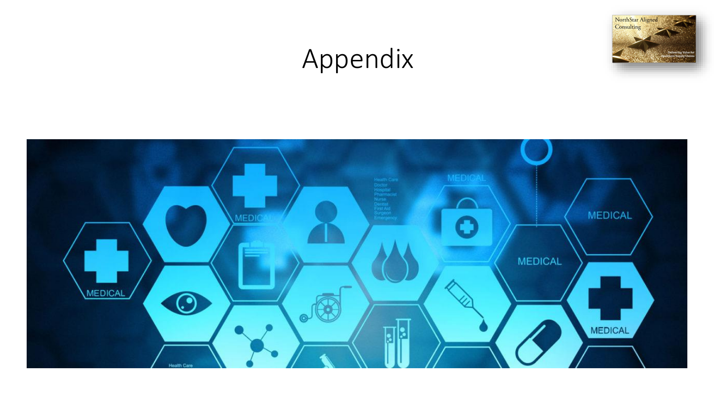### Appendix



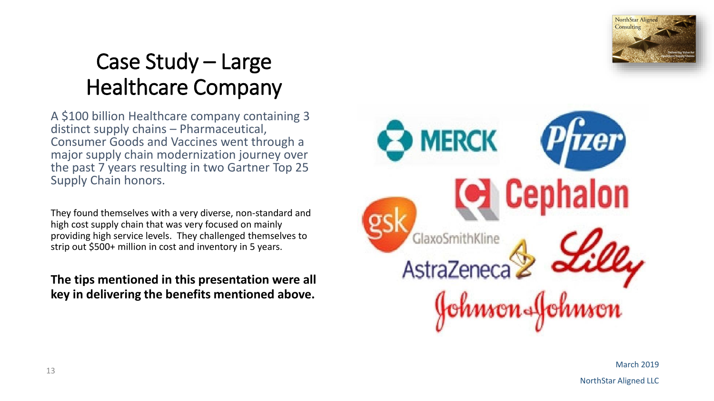

### Case Study – Large Healthcare Company

A \$100 billion Healthcare company containing 3 distinct supply chains – Pharmaceutical, Consumer Goods and Vaccines went through a major supply chain modernization journey over the past 7 years resulting in two Gartner Top 25 Supply Chain honors.

They found themselves with a very diverse, non-standard and high cost supply chain that was very focused on mainly providing high service levels. They challenged themselves to strip out \$500+ million in cost and inventory in 5 years.

**The tips mentioned in this presentation were all key in delivering the benefits mentioned above.**



March 2019

NorthStar Aligned LLC